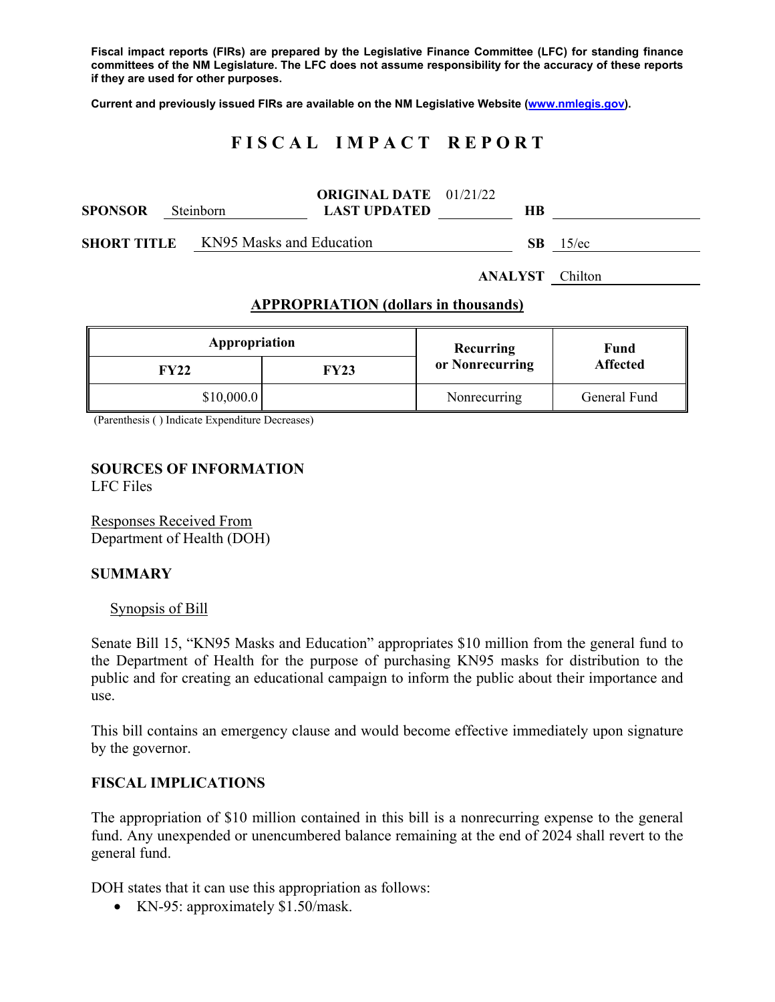**Fiscal impact reports (FIRs) are prepared by the Legislative Finance Committee (LFC) for standing finance committees of the NM Legislature. The LFC does not assume responsibility for the accuracy of these reports if they are used for other purposes.** 

**Current and previously issued FIRs are available on the NM Legislative Website (www.nmlegis.gov).** 

# **F I S C A L I M P A C T R E P O R T**

|                                                | <b>LAST UPDATED</b> | HВ                            |                          |
|------------------------------------------------|---------------------|-------------------------------|--------------------------|
| KN95 Masks and Education<br><b>SHORT TITLE</b> |                     | SB.                           | $15$ /ec                 |
|                                                | Steinborn           | <b>ORIGINAL DATE</b> 01/21/22 | . _ _ . _ _ _ _ <u>.</u> |

**ANALYST** Chilton

#### **APPROPRIATION (dollars in thousands)**

| Appropriation |      | Recurring       | Fund            |  |
|---------------|------|-----------------|-----------------|--|
| FY22          | FY23 | or Nonrecurring | <b>Affected</b> |  |
| \$10,000.0    |      | Nonrecurring    | General Fund    |  |

(Parenthesis ( ) Indicate Expenditure Decreases)

## **SOURCES OF INFORMATION**  LFC Files

Responses Received From Department of Health (DOH)

#### **SUMMARY**

#### Synopsis of Bill

Senate Bill 15, "KN95 Masks and Education" appropriates \$10 million from the general fund to the Department of Health for the purpose of purchasing KN95 masks for distribution to the public and for creating an educational campaign to inform the public about their importance and use.

This bill contains an emergency clause and would become effective immediately upon signature by the governor.

## **FISCAL IMPLICATIONS**

The appropriation of \$10 million contained in this bill is a nonrecurring expense to the general fund. Any unexpended or unencumbered balance remaining at the end of 2024 shall revert to the general fund.

DOH states that it can use this appropriation as follows:

• KN-95: approximately \$1.50/mask.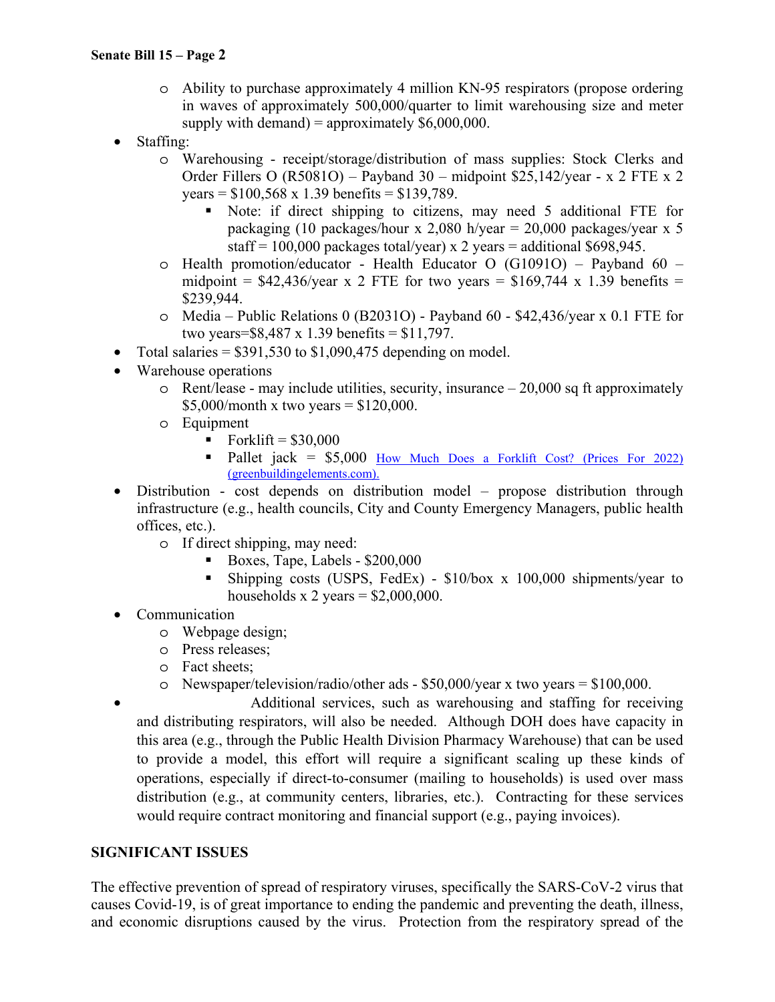## **Senate Bill 15 – Page 2**

- o Ability to purchase approximately 4 million KN-95 respirators (propose ordering in waves of approximately 500,000/quarter to limit warehousing size and meter supply with demand) = approximately  $$6,000,000$ .
- Staffing:
	- o Warehousing receipt/storage/distribution of mass supplies: Stock Clerks and Order Fillers O (R5081O) – Payband 30 – midpoint \$25,142/year - x 2 FTE x 2 years =  $$100,568 \times 1.39$  benefits =  $$139,789$ .
		- Note: if direct shipping to citizens, may need 5 additional FTE for packaging (10 packages/hour x 2,080 h/year =  $20,000$  packages/year x 5 staff = 100,000 packages total/year) x 2 years = additional \$698,945.
	- o Health promotion/educator Health Educator O (G1091O) Payband 60 midpoint =  $$42,436$ /year x 2 FTE for two years =  $$169,744$  x 1.39 benefits = \$239,944.
	- o Media Public Relations 0 (B2031O) Payband 60 \$42,436/year x 0.1 FTE for two years=\$8,487 x 1.39 benefits = \$11,797.
- Total salaries  $= $391,530$  to \$1,090,475 depending on model.
- Warehouse operations
	- $\circ$  Rent/lease may include utilities, security, insurance  $-20,000$  sq ft approximately \$5,000/month x two years =  $$120,000$ .
	- o Equipment
		- Forklift =  $$30,000$
		- Pallet jack = \$5,000 How Much Does a Forklift Cost? (Prices For 2022) (greenbuildingelements.com).
- Distribution cost depends on distribution model propose distribution through infrastructure (e.g., health councils, City and County Emergency Managers, public health offices, etc.).
	- o If direct shipping, may need:
		- Boxes, Tape, Labels  $$200,000$
		- Shipping costs (USPS, FedEx) \$10/box x 100,000 shipments/year to households x 2 years =  $$2,000,000$ .
- Communication
	- o Webpage design;
	- o Press releases;
	- o Fact sheets;
	- o Newspaper/television/radio/other ads \$50,000/year x two years = \$100,000.
- Additional services, such as warehousing and staffing for receiving and distributing respirators, will also be needed. Although DOH does have capacity in this area (e.g., through the Public Health Division Pharmacy Warehouse) that can be used to provide a model, this effort will require a significant scaling up these kinds of operations, especially if direct-to-consumer (mailing to households) is used over mass distribution (e.g., at community centers, libraries, etc.). Contracting for these services would require contract monitoring and financial support (e.g., paying invoices).

## **SIGNIFICANT ISSUES**

The effective prevention of spread of respiratory viruses, specifically the SARS-CoV-2 virus that causes Covid-19, is of great importance to ending the pandemic and preventing the death, illness, and economic disruptions caused by the virus. Protection from the respiratory spread of the